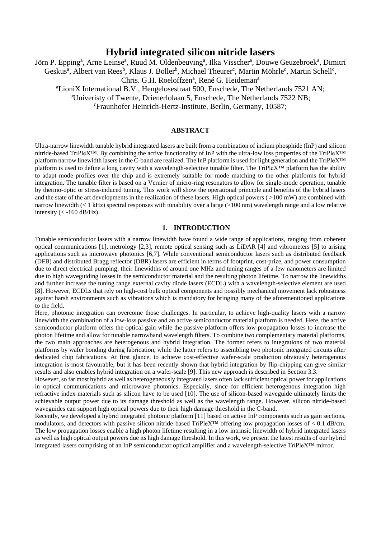# **Hybrid integrated silicon nitride lasers**

Jörn P. Epping<sup>a</sup>, Arne Leinse<sup>a</sup>, Ruud M. Oldenbeuving<sup>a</sup>, Ilka Visscher<sup>a</sup>, Douwe Geuzebroek<sup>a</sup>, Dimitri Geskus<sup>a</sup>, Albert van Rees<sup>b</sup>, Klaus J. Boller<sup>b</sup>, Michael Theurer<sup>c</sup>, Martin Möhrle<sup>c</sup>, Martin Schell<sup>c</sup>, Chris. G.H. Roeloffzen<sup>a</sup>, René G. Heideman<sup>a</sup> <sup>a</sup>LioniX International B.V., Hengelosestraat 500, Enschede, The Netherlands 7521 AN; <sup>b</sup>Univeristy of Twente, Drienerlolaan 5, Enschede, The Netherlands 7522 NB; <sup>c</sup>Fraunhofer Heinrich-Hertz-Institute, Berlin, Germany, 10587;

## **ABSTRACT**

Ultra-narrow linewidth tunable hybrid integrated lasers are built from a combination of indium phosphide (InP) and silicon nitride-based TriPleX™. By combining the active functionality of InP with the ultra-low loss properties of the TriPleX™ platform narrow linewidth lasers in the C-band are realized. The InP platform is used for light generation and the TriPleX™ platform is used to define a long cavity with a wavelength-selective tunable filter. The TriPleX™ platform has the ability to adapt mode profiles over the chip and is extremely suitable for mode matching to the other platforms for hybrid integration. The tunable filter is based on a Vernier of micro-ring resonators to allow for single-mode operation, tunable by thermo-optic or stress-induced tuning. This work will show the operational principle and benefits of the hybrid lasers and the state of the art developments in the realization of these lasers. High optical powers ( $>100$  mW) are combined with narrow linewidth (< 1 kHz) spectral responses with tunability over a large (>100 nm) wavelength range and a low relative intensity  $(< -160$  dB/Hz).

## **1. INTRODUCTION**

Tunable semiconductor lasers with a narrow linewidth have found a wide range of applications, ranging from coherent optical communications [1], metrology [2,3], remote optical sensing such as LiDAR [4] and vibrometers [5] to arising applications such as microwave photonics [6,7]. While conventional semiconductor lasers such as distributed feedback (DFB) and distributed Bragg reflector (DBR) lasers are efficient in terms of footprint, cost-prize, and power consumption due to direct electrical pumping, their linewidths of around one MHz and tuning ranges of a few nanometers are limited due to high waveguiding losses in the semiconductor material and the resulting photon lifetime. To narrow the linewidths and further increase the tuning range external cavity diode lasers (ECDL) with a wavelength-selective element are used [8]. However, ECDLs that rely on high-cost bulk optical components and possibly mechanical movement lack robustness against harsh environments such as vibrations which is mandatory for bringing many of the aforementioned applications to the field.

Here, photonic integration can overcome those challenges. In particular, to achieve high-quality lasers with a narrow linewidth the combination of a low-loss passive and an active semiconductor material platform is needed. Here, the active semiconductor platform offers the optical gain while the passive platform offers low propagation losses to increase the photon lifetime and allow for tunable narrowband wavelength filters. To combine two complementary material platforms, the two main approaches are heterogenous and hybrid integration. The former refers to integrations of two material platforms by wafer bonding during fabrication, while the latter refers to assembling two photonic integrated circuits after dedicated chip fabrications. At first glance, to achieve cost-effective wafer-scale production obviously heterogenous integration is most favourable, but it has been recently shown that hybrid integration by flip-chipping can give similar results and also enables hybrid integration on a wafer-scale [9]. This new approach is described in Section 3.3.

However, so far most hybrid as well as heterogeneously integrated lasers often lack sufficient optical power for applications in optical communications and microwave photonics. Especially, since for efficient heterogenous integration high refractive index materials such as silicon have to be used [10]. The use of silicon-based waveguide ultimately limits the achievable output power due to its damage threshold as well as the wavelength range. However, silicon nitride-based waveguides can support high optical powers due to their high damage threshold in the C-band.

Recently, we developed a hybrid integrated photonic platform [11] based on active InP components such as gain sections, modulators, and detectors with passive silicon nitride-based TriPleX™ offering low propagation losses of < 0.1 dB/cm. The low propagation losses enable a high photon lifetime resulting in a low intrinsic linewidth of hybrid integrated lasers as well as high optical output powers due its high damage threshold. In this work, we present the latest results of our hybrid integrated lasers comprising of an InP semiconductor optical amplifier and a wavelength-selective TriPleX™ mirror.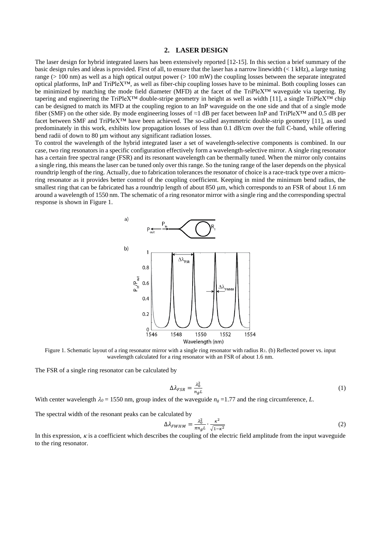#### **2. LASER DESIGN**

The laser design for hybrid integrated lasers has been extensively reported [12-15]. In this section a brief summary of the basic design rules and ideas is provided. First of all, to ensure that the laser has a narrow linewidth  $\ll 1$  kHz), a large tuning range ( $> 100$  nm) as well as a high optical output power ( $> 100$  mW) the coupling losses between the separate integrated optical platforms, InP and TriPleX™, as well as fiber-chip coupling losses have to be minimal. Both coupling losses can be minimized by matching the mode field diameter (MFD) at the facet of the TriPleX™ waveguide via tapering. By tapering and engineering the TriPleX<sup>™</sup> double-stripe geometry in height as well as width [11], a single TriPleX<sup>™</sup> chip can be designed to match its MFD at the coupling region to an InP waveguide on the one side and that of a single mode fiber (SMF) on the other side. By mode engineering losses of ≈1 dB per facet between InP and TriPleX™ and 0.5 dB per facet between SMF and TriPleX™ have been achieved. The so-called asymmetric double-strip geometry [11], as used predominately in this work, exhibits low propagation losses of less than 0.1 dB/cm over the full C-band, while offering bend radii of down to 80 µm without any significant radiation losses.

To control the wavelength of the hybrid integrated laser a set of wavelength-selective components is combined. In our case, two ring resonators in a specific configuration effectively form a wavelength-selective mirror. A single ring resonator has a certain free spectral range (FSR) and its resonant wavelength can be thermally tuned. When the mirror only contains a single ring, this means the laser can be tuned only over this range. So the tuning range of the laser depends on the physical roundtrip length of the ring. Actually, due to fabrication tolerances the resonator of choice is a race-track type over a microring resonator as it provides better control of the coupling coefficient. Keeping in mind the minimum bend radius, the smallest ring that can be fabricated has a roundtrip length of about 850 µm, which corresponds to an FSR of about 1.6 nm around a wavelength of 1550 nm. The schematic of a ring resonator mirror with a single ring and the corresponding spectral response is shown in [Figure 1.](#page-1-0)



<span id="page-1-0"></span>Figure 1. Schematic layout of a ring resonator mirror with a single ring resonator with radius R<sub>1</sub>. (b) Reflected power vs. input wavelength calculated for a ring resonator with an FSR of about 1.6 nm.

The FSR of a single ring resonator can be calculated by

$$
\Delta \lambda_{FSR} = \frac{\lambda_0^2}{n_g L} \tag{1}
$$

With center wavelength  $\lambda_0 = 1550$  nm, group index of the waveguide  $n_g = 1.77$  and the ring circumference, *L*.

The spectral width of the resonant peaks can be calculated by

$$
\Delta \lambda_{FWHM} = \frac{\lambda_0^2}{\pi n_g L} \cdot \frac{\kappa^2}{\sqrt{1 - \kappa^2}} \tag{2}
$$

In this expression,  $\kappa$  is a coefficient which describes the coupling of the electric field amplitude from the input waveguide to the ring resonator.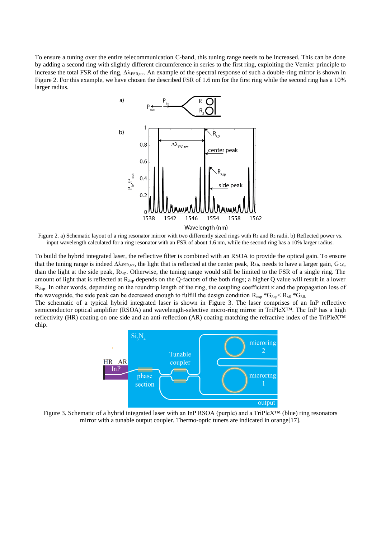To ensure a tuning over the entire telecommunication C-band, this tuning range needs to be increased. This can be done by adding a second ring with slightly different circumference in series to the first ring, exploiting the Vernier principle to increase the total FSR of the ring,  $\Delta\lambda_{FSR,tot}$ . An example of the spectral response of such a double-ring mirror is shown in [Figure 2.](#page-2-0) For this example, we have chosen the described FSR of 1.6 nm for the first ring while the second ring has a 10% larger radius.



<span id="page-2-0"></span>Figure 2. a) Schematic layout of a ring resonator mirror with two differently sized rings with R<sub>1</sub> and R<sub>2</sub> radii. b) Reflected power vs. input wavelength calculated for a ring resonator with an FSR of about 1.6 nm, while the second ring has a 10% larger radius.

To build the hybrid integrated laser, the reflective filter is combined with an RSOA to provide the optical gain. To ensure that the tuning range is indeed  $\Delta\lambda_{FSR,tot}$ , the light that is reflected at the center peak,  $R_{\lambda 0}$ , needs to have a larger gain, G  $_{\lambda 0}$ , than the light at the side peak,  $R_{\lambda sp}$ . Otherwise, the tuning range would still be limited to the FSR of a single ring. The amount of light that is reflected at  $R_{\lambda sp}$  depends on the Q-factors of the both rings; a higher Q value will result in a lower Rsp. In other words, depending on the roundtrip length of the ring, the coupling coefficient κ and the propagation loss of the waveguide, the side peak can be decreased enough to fulfill the design condition  $R_{\lambda sp} * G_{\lambda, sp} * G_{\lambda, o} * G_{\lambda, o}$ 

The schematic of a typical hybrid integrated laser is shown in [Figure 3.](#page-2-1) The laser comprises of an InP reflective semiconductor optical amplifier (RSOA) and wavelength-selective micro-ring mirror in TriPleX™. The InP has a high reflectivity (HR) coating on one side and an anti-reflection (AR) coating matching the refractive index of the TriPleX™ chip.



<span id="page-2-1"></span>Figure 3. Schematic of a hybrid integrated laser with an InP RSOA (purple) and a TriPleX™ (blue) ring resonators mirror with a tunable output coupler. Thermo-optic tuners are indicated in orange[17].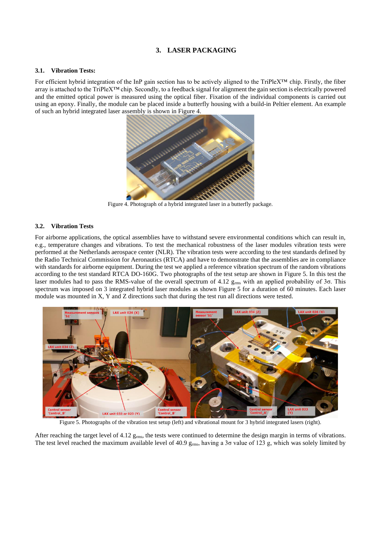## **3. LASER PACKAGING**

#### **3.1. Vibration Tests:**

For efficient hybrid integration of the InP gain section has to be actively aligned to the TriPleX™ chip. Firstly, the fiber array is attached to the TriPleX™ chip. Secondly, to a feedback signal for alignment the gain section is electrically powered and the emitted optical power is measured using the optical fiber. Fixation of the individual components is carried out using an epoxy. Finally, the module can be placed inside a butterfly housing with a build-in Peltier element. An example of such an hybrid integrated laser assembly is shown i[n Figure 4.](#page-3-0)



Figure 4. Photograph of a hybrid integrated laser in a butterfly package.

## <span id="page-3-0"></span>**3.2. Vibration Tests**

For airborne applications, the optical assemblies have to withstand severe environmental conditions which can result in, e.g., temperature changes and vibrations. To test the mechanical robustness of the laser modules vibration tests were performed at the Netherlands aerospace center (NLR). The vibration tests were according to the test standards defined by the Radio Technical Commission for Aeronautics (RTCA) and have to demonstrate that the assemblies are in compliance with standards for airborne equipment. During the test we applied a reference vibration spectrum of the random vibrations according to the test standard RTCA DO-160G. Two photographs of the test setup are shown in [Figure 5.](#page-3-1) In this test the laser modules had to pass the RMS-value of the overall spectrum of 4.12 grms with an applied probability of 3σ. This spectrum was imposed on 3 integrated hybrid laser modules as shown [Figure 5](#page-3-1) for a duration of 60 minutes. Each laser module was mounted in X, Y and Z directions such that during the test run all directions were tested.



Figure 5. Photographs of the vibration test setup (left) and vibrational mount for 3 hybrid integrated lasers (right).

<span id="page-3-1"></span>After reaching the target level of 4.12  $g_{rms}$ , the tests were continued to determine the design margin in terms of vibrations. The test level reached the maximum available level of 40.9  $g_{\rm rms}$ , having a 3 $\sigma$  value of 123 g, which was solely limited by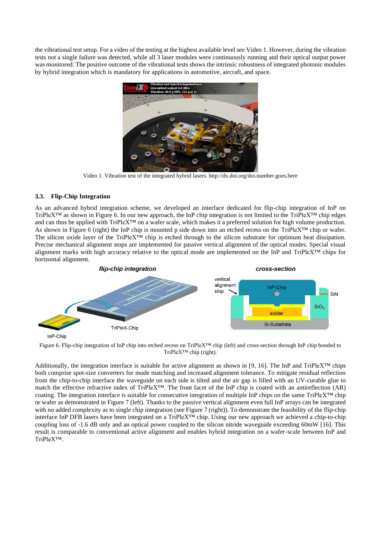the vibrational test setup. For a video of the testing at the highest available level see [Video 1.](#page-4-0) However, during the vibration tests not a single failure was detected, while all 3 laser modules were continuously running and their optical output power was monitored. The positive outcome of the vibrational tests shows the intrinsic robustness of integrated photonic modules by hybrid integration which is mandatory for applications in automotive, aircraft, and space.



Video 1. Vibration test of the integrated hybrid lasers. http://dx.doi.org/doi.number.goes.here

#### <span id="page-4-0"></span>**3.3. Flip-Chip Integration**

As an advanced hybrid integration scheme, we developed an interface dedicated for flip-chip integration of InP on TriPleX™ as shown in [Figure 6.](#page-4-1) In our new approach, the InP chip integration is not limited to the TriPleX™ chip edges and can thus be applied with TriPleX™ on a wafer scale, which makes it a preferred solution for high volume production. As shown in [Figure 6](#page-4-1) (right) the InP chip is mounted p side down into an etched recess on the TriPleX™ chip or wafer. The silicon oxide layer of the TriPleX™ chip is etched through to the silicon substrate for optimum heat dissipation. Precise mechanical alignment stops are implemented for passive vertical alignment of the optical modes. Special visual alignment marks with high accuracy relative to the optical mode are implemented on the InP and TriPleX™ chips for horizontal alignment.



<span id="page-4-1"></span>Figure 6. Flip-chip integration of InP chip into etched recess on TriPleX™ chip (left) and cross-section through InP chip bonded to TriPleX™ chip (right).

Additionally, the integration interface is suitable for active alignment as shown in [9, 16]. The InP and TriPleX<sup>™</sup> chips both comprise spot-size converters for mode matching and increased alignment tolerance. To mitigate residual reflection from the chip-to-chip interface the waveguide on each side is tilted and the air gap is filled with an UV-curable glue to match the effective refractive index of TriPleX™. The front facet of the InP chip is coated with an antireflection (AR) coating. The integration interface is suitable for consecutive integration of multiple InP chips on the same TriPleX™ chip or wafer as demonstrated in [Figure 7](#page-5-0) (left). Thanks to the passive vertical alignment even full InP arrays can be integrated with no added complexity as to single chip integration (se[e Figure 7](#page-5-0) (right)). To demonstrate the feasibility of the flip-chip interface InP DFB lasers have been integrated on a TriPleX™ chip. Using our new approach we achieved a chip-to-chip coupling loss of -1.6 dB only and an optical power coupled to the silicon nitride waveguide exceeding 60mW [16]. This result is comparable to conventional active alignment and enables hybrid integration on a wafer-scale between InP and TriPleX™.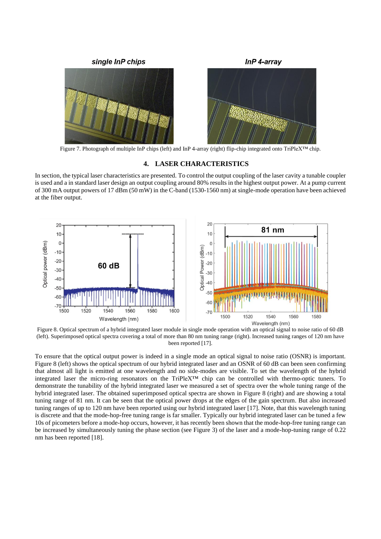

<span id="page-5-0"></span>Figure 7. Photograph of multiple InP chips (left) and InP 4-array (right) flip-chip integrated onto TriPleX™ chip.

## **4. LASER CHARACTERISTICS**

In section, the typical laser characteristics are presented. To control the output coupling of the laser cavity a tunable coupler is used and a in standard laser design an output coupling around 80% results in the highest output power. At a pump current of 300 mA output powers of 17 dBm (50 mW) in the C-band (1530-1560 nm) at single-mode operation have been achieved at the fiber output.



<span id="page-5-1"></span>Figure 8. Optical spectrum of a hybrid integrated laser module in single mode operation with an optical signal to noise ratio of 60 dB (left). Superimposed optical spectra covering a total of more than 80 nm tuning range (right). Increased tuning ranges of 120 nm have been reported [17].

To ensure that the optical output power is indeed in a single mode an optical signal to noise ratio (OSNR) is important. [Figure 8](#page-5-1) (left) shows the optical spectrum of our hybrid integrated laser and an OSNR of 60 dB can been seen confirming that almost all light is emitted at one wavelength and no side-modes are visible. To set the wavelength of the hybrid integrated laser the micro-ring resonators on the TriPleX™ chip can be controlled with thermo-optic tuners. To demonstrate the tunability of the hybrid integrated laser we measured a set of spectra over the whole tuning range of the hybrid integrated laser. The obtained superimposed optical spectra are shown in [Figure 8](#page-5-1) (right) and are showing a total tuning range of 81 nm. It can be seen that the optical power drops at the edges of the gain spectrum. But also increased tuning ranges of up to 120 nm have been reported using our hybrid integrated laser [17]. Note, that this wavelength tuning is discrete and that the mode-hop-free tuning range is far smaller. Typically our hybrid integrated laser can be tuned a few 10s of picometers before a mode-hop occurs, however, it has recently been shown that the mode-hop-free tuning range can be increased by simultaneously tuning the phase section (see [Figure 3\)](#page-2-1) of the laser and a mode-hop-tuning range of 0.22 nm has been reported [18].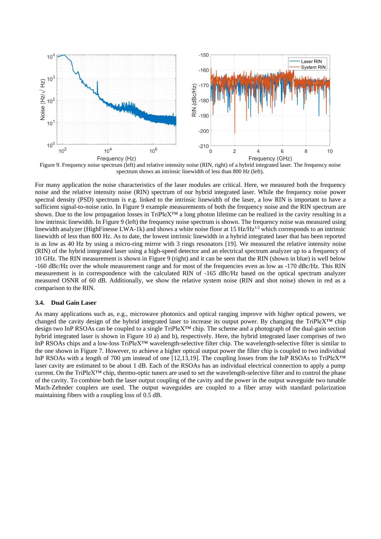

<span id="page-6-0"></span>Figure 9. Frequency noise spectrum (left) and relative intensity noise (RIN, right) of a hybrid integrated laser. The frequency noise spectrum shows an intrinsic linewidth of less than 800 Hz (left).

For many application the noise characteristics of the laser modules are critical. Here, we measured both the frequency noise and the relative intensity noise (RIN) spectrum of our hybrid integrated laser. While the frequency noise power spectral density (PSD) spectrum is e.g. linked to the intrinsic linewidth of the laser, a low RIN is important to have a sufficient signal-to-noise ratio. I[n Figure 9](#page-6-0) example measurements of both the frequency noise and the RIN spectrum are shown. Due to the low propagation losses in TriPleX™ a long photon lifetime can be realized in the cavity resulting in a low intrinsic linewidth. In Figure 9 (left) the frequency noise spectrum is shown. The frequency noise was measured using linewidth analyzer (HighFinesse LWA-1k) and shows a white noise floor at 15 Hz/Hz $^{1/2}$  which corresponds to an intrinsic linewidth of less than 800 Hz. As to date, the lowest intrinsic linewidth in a hybrid integrated laser that has been reported is as low as 40 Hz by using a micro-ring mirror with 3 rings resonators [19]. We measured the relative intensity noise (RIN) of the hybrid integrated laser using a high-speed detector and an electrical spectrum analyzer up to a frequency of 10 GHz. The RIN measurement is shown in Figure 9 (right) and it can be seen that the RIN (shown in blue) is well below -160 dBc/Hz over the whole measurement range and for most of the frequencies even as low as -170 dBc/Hz. This RIN measurement is in correspondence with the calculated RIN of -165 dBc/Hz based on the optical spectrum analyzer measured OSNR of 60 dB. Additionally, we show the relative system noise (RIN and shot noise) shown in red as a comparison to the RIN.

#### **3.4. Dual Gain Laser**

As many applications such as, e.g., microwave photonics and optical ranging improve with higher optical powers, we changed the cavity design of the hybrid integrated laser to increase its output power. By changing the TriPleX™ chip design two InP RSOAs can be coupled to a single TriPleX™ chip. The scheme and a photograph of the dual-gain section hybrid integrated laser is shown in [Figure 10](#page-7-0) a) and b), respectively. Here, the hybrid integrated laser comprises of two InP RSOAs chips and a low-loss TriPleX™ wavelength-selective filter chip. The wavelength-selective filter is similar to the one shown in Figure 7. However, to achieve a higher optical output power the filter chip is coupled to two individual InP RSOAs with a length of 700 µm instead of one [12,13,19]. The coupling losses from the InP RSOAs to TriPleX™ laser cavity are estimated to be about 1 dB. Each of the RSOAs has an individual electrical connection to apply a pump current. On the TriPleX™ chip, thermo-optic tuners are used to set the wavelength-selective filter and to control the phase of the cavity. To combine both the laser output coupling of the cavity and the power in the output waveguide two tunable Mach-Zehnder couplers are used. The output waveguides are coupled to a fiber array with standard polarization maintaining fibers with a coupling loss of 0.5 dB.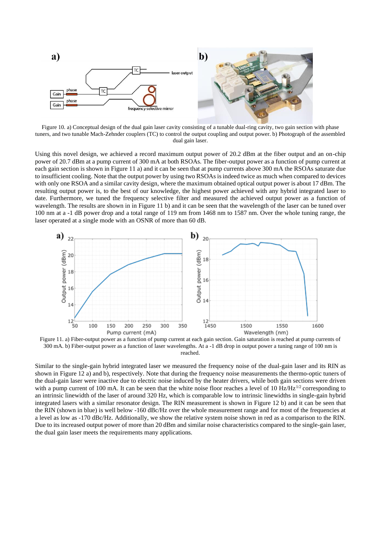

<span id="page-7-0"></span>Figure 10. a) Conceptual design of the dual gain laser cavity consisting of a tunable dual-ring cavity, two gain section with phase tuners, and two tunable Mach-Zehnder couplers (TC) to control the output coupling and output power. b) Photograph of the assembled dual gain laser.

Using this novel design, we achieved a record maximum output power of 20.2 dBm at the fiber output and an on-chip power of 20.7 dBm at a pump current of 300 mA at both RSOAs. The fiber-output power as a function of pump current at each gain section is shown i[n Figure 11](#page-7-1) a) and it can be seen that at pump currents above 300 mA the RSOAs saturate due to insufficient cooling. Note that the output power by using two RSOAs is indeed twice as much when compared to devices with only one RSOA and a similar cavity design, where the maximum obtained optical output power is about 17 dBm. The resulting output power is, to the best of our knowledge, the highest power achieved with any hybrid integrated laser to date. Furthermore, we tuned the frequency selective filter and measured the achieved output power as a function of wavelength. The results are shown in i[n Figure 11](#page-7-1) b) and it can be seen that the wavelength of the laser can be tuned over 100 nm at a -1 dB power drop and a total range of 119 nm from 1468 nm to 1587 nm. Over the whole tuning range, the laser operated at a single mode with an OSNR of more than 60 dB.



<span id="page-7-1"></span>Figure 11. a) Fiber-output power as a function of pump current at each gain section. Gain saturation is reached at pump currents of 300 mA. b) Fiber-output power as a function of laser wavelengths. At a -1 dB drop in output power a tuning range of 100 nm is reached.

Similar to the single-gain hybrid integrated laser we measured the frequency noise of the dual-gain laser and its RIN as shown in [Figure 12](#page-8-0) a) and b), respectively. Note that during the frequency noise measurements the thermo-optic tuners of the dual-gain laser were inactive due to electric noise induced by the heater drivers, while both gain sections were driven with a pump current of 100 mA. It can be seen that the white noise floor reaches a level of 10 Hz/Hz<sup>1/2</sup> corresponding to an intrinsic linewidth of the laser of around 320 Hz, which is comparable low to intrinsic linewidths in single-gain hybrid integrated lasers with a similar resonator design. The RIN measurement is shown in [Figure 12](#page-8-0) b) and it can be seen that the RIN (shown in blue) is well below -160 dBc/Hz over the whole measurement range and for most of the frequencies at a level as low as -170 dBc/Hz. Additionally, we show the relative system noise shown in red as a comparison to the RIN. Due to its increased output power of more than 20 dBm and similar noise characteristics compared to the single-gain laser, the dual gain laser meets the requirements many applications.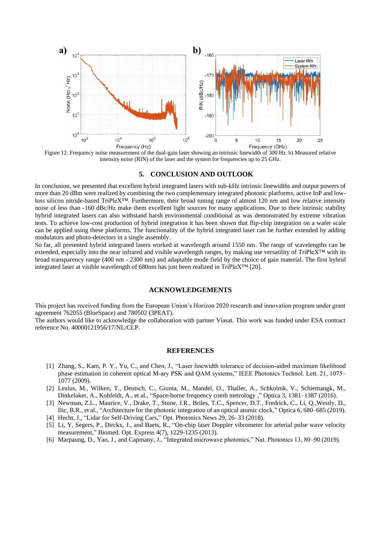

<span id="page-8-0"></span>Figure 12. Frequency noise measurement of the dual-gain laser showing an intrinsic linewidth of 300 Hz. b) Measured relative intensity noise (RIN) of the laser and the system for frequencies up to 25 GHz.

#### **5. CONCLUSION AND OUTLOOK**

In conclusion, we presented that excellent hybrid integrated lasers with sub-kHz intrinsic linewidths and output powers of more than 20 dBm were realized by combining the two complementary integrated photonic platforms, active InP and lowloss silicon nitride-based TriPleX™. Furthermore, their broad tuning range of almost 120 nm and low relative intensity noise of less than -160 dBc/Hz make them excellent light sources for many applications. Due to their intrinsic stability hybrid integrated lasers can also withstand harsh environmental conditional as was demonstrated by extreme vibration tests. To achieve low-cost production of hybrid integration it has been shown that flip-chip integration on a wafer scale can be applied using these platforms. The functionality of the hybrid integrated laser can be further extended by adding modulators and photo-detectors in a single assembly.

So far, all presented hybrid integrated lasers worked at wavelength around 1550 nm. The range of wavelengths can be extended, especially into the near infrared and visible wavelength ranges, by making use versatility of TriPleX™ with its broad transparency range (400 nm - 2300 nm) and adaptable mode field by the choice of gain material. The first hybrid integrated laser at visible wavelength of 680nm has just been realized in TriPleX<sup>™</sup> [20].

## **ACKNOWLEDGEMENTS**

This project has received funding from the European Union's Horizon 2020 research and innovation program under grant agreement 762055 (BlueSpace) and 780502 (3PEAT).

The authors would like to acknowledge the collaboration with partner Viasat. This work was funded under ESA contract reference No. 40000121956/17/NL/CLP.

#### **REFERENCES**

- [1] Zhang, S., Kam, P. Y., Yu, C., and Chen, J., "Laser linewidth tolerance of decision-aided maximum likelihood phase estimation in coherent optical M-ary PSK and QAM systems," IEEE Photonics Technol. Lett. 21, 1075– 1077 (2009).
- [2] Lezius, M., Wilken, T., Deutsch, C., Giunta, M., Mandel, O., Thaller, A., Schkolnik, V., Schiemangk, M., Dinkelaker, A., Kohfeldt, A., et al., "Space-borne frequency comb metrology ," Optica 3, 1381–1387 (2016).
- [3] Newman, Z.L., Maurice, V., Drake, T., Stone, J.R., Briles, T.C., Spencer, D.T., Fredrick, C., Li, Q.,Westly, D., Ilic, B.R., et al., "Architecture for the photonic integration of an optical atomic clock," Optica 6, 680–685 (2019).
- [4] Hecht, J., "Lidar for Self-Driving Cars," Opt. Photonics News 29, 26–33 (2018).
- [5] Li, Y, Segers, P., Dirckx, J., and Baets, R., "On-chip laser Doppler vibrometer for arterial pulse wave velocity measurement," Biomed. Opt. Express 4(7), 1229-1235 (2013).
- [6] Marpaung, D., Yao, J., and Capmany, J., "Integrated microwave photonics," Nat. Photonics 13, 80–90 (2019).